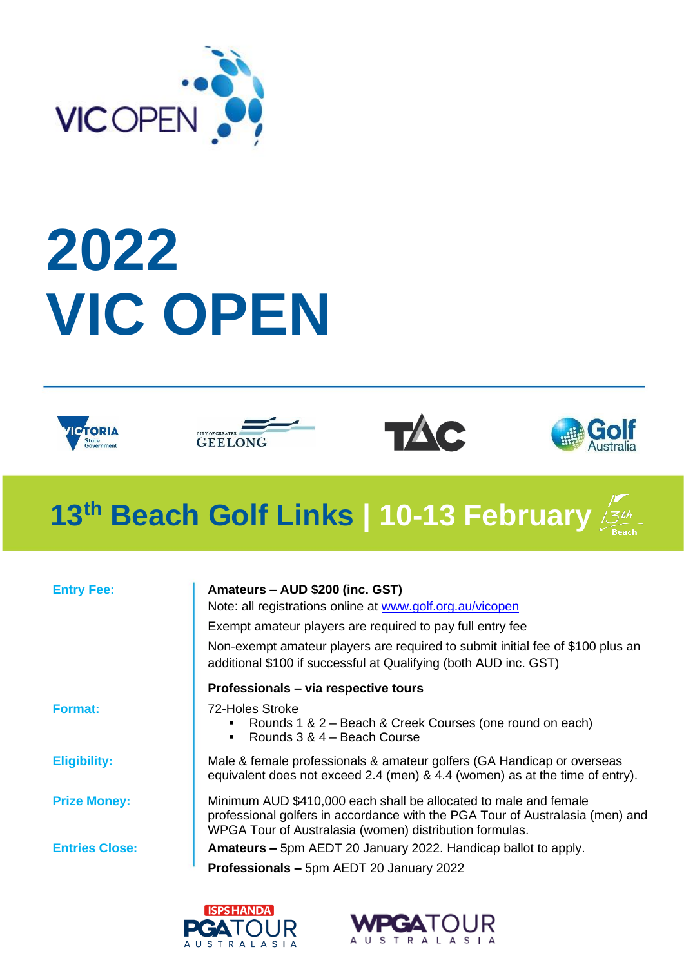

# **2022 VIC OPEN**









# **13th Beach Golf Links | 10-13 February**

| <b>Entry Fee:</b>     | Amateurs - AUD \$200 (inc. GST)                                                                                                                                                                              |
|-----------------------|--------------------------------------------------------------------------------------------------------------------------------------------------------------------------------------------------------------|
|                       | Note: all registrations online at www.golf.org.au/vicopen                                                                                                                                                    |
|                       | Exempt amateur players are required to pay full entry fee                                                                                                                                                    |
|                       | Non-exempt amateur players are required to submit initial fee of \$100 plus an<br>additional \$100 if successful at Qualifying (both AUD inc. GST)                                                           |
|                       | Professionals - via respective tours                                                                                                                                                                         |
| <b>Format:</b>        | 72-Holes Stroke<br>Rounds 1 & 2 – Beach & Creek Courses (one round on each)<br>٠<br>Rounds 3 & 4 - Beach Course<br>$\blacksquare$                                                                            |
| <b>Eligibility:</b>   | Male & female professionals & amateur golfers (GA Handicap or overseas<br>equivalent does not exceed 2.4 (men) & 4.4 (women) as at the time of entry).                                                       |
| <b>Prize Money:</b>   | Minimum AUD \$410,000 each shall be allocated to male and female<br>professional golfers in accordance with the PGA Tour of Australasia (men) and<br>WPGA Tour of Australasia (women) distribution formulas. |
| <b>Entries Close:</b> | <b>Amateurs –</b> 5pm AEDT 20 January 2022. Handicap ballot to apply.                                                                                                                                        |
|                       | <b>Professionals - 5pm AEDT 20 January 2022</b>                                                                                                                                                              |
|                       |                                                                                                                                                                                                              |



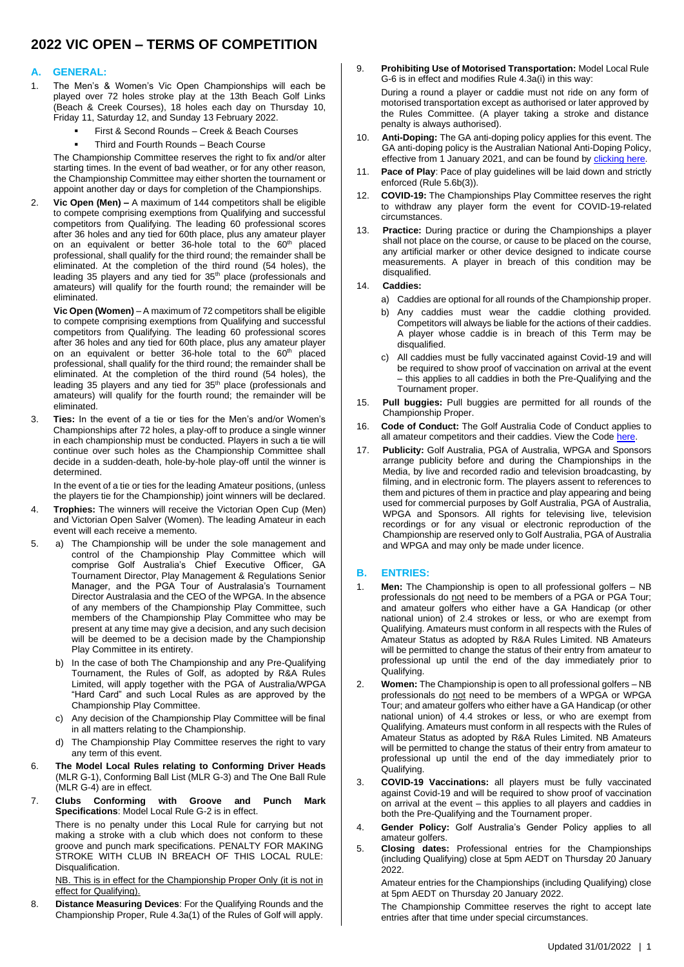### **2022 VIC OPEN – TERMS OF COMPETITION**

#### **A. GENERAL:**

- 1. The Men's & Women's Vic Open Championships will each be played over 72 holes stroke play at the 13th Beach Golf Links (Beach & Creek Courses), 18 holes each day on Thursday 10, Friday 11, Saturday 12, and Sunday 13 February 2022.
	- First & Second Rounds Creek & Beach Courses
	- Third and Fourth Rounds Beach Course

The Championship Committee reserves the right to fix and/or alter starting times. In the event of bad weather, or for any other reason, the Championship Committee may either shorten the tournament or appoint another day or days for completion of the Championships.

2. **Vic Open (Men) –** A maximum of 144 competitors shall be eligible to compete comprising exemptions from Qualifying and successful competitors from Qualifying. The leading 60 professional scores after 36 holes and any tied for 60th place, plus any amateur player on an equivalent or better 36-hole total to the 60<sup>th</sup> placed professional, shall qualify for the third round; the remainder shall be eliminated. At the completion of the third round (54 holes), the leading 35 players and any tied for 35<sup>th</sup> place (professionals and amateurs) will qualify for the fourth round; the remainder will be eliminated.

**Vic Open (Women)** – A maximum of 72 competitors shall be eligible to compete comprising exemptions from Qualifying and successful competitors from Qualifying. The leading 60 professional scores after 36 holes and any tied for 60th place, plus any amateur player on an equivalent or better 36-hole total to the 60<sup>th</sup> placed professional, shall qualify for the third round; the remainder shall be eliminated. At the completion of the third round (54 holes), the leading 35 players and any tied for 35<sup>th</sup> place (professionals and amateurs) will qualify for the fourth round; the remainder will be eliminated.

3. **Ties:** In the event of a tie or ties for the Men's and/or Women's Championships after 72 holes, a play-off to produce a single winner in each championship must be conducted. Players in such a tie will continue over such holes as the Championship Committee shall decide in a sudden-death, hole-by-hole play-off until the winner is determined.

In the event of a tie or ties for the leading Amateur positions, (unless the players tie for the Championship) joint winners will be declared.

- 4. **Trophies:** The winners will receive the Victorian Open Cup (Men) and Victorian Open Salver (Women). The leading Amateur in each event will each receive a memento.
- 5. a) The Championship will be under the sole management and control of the Championship Play Committee which will comprise Golf Australia's Chief Executive Officer, GA Tournament Director, Play Management & Regulations Senior Manager, and the PGA Tour of Australasia's Tournament Director Australasia and the CEO of the WPGA. In the absence of any members of the Championship Play Committee, such members of the Championship Play Committee who may be present at any time may give a decision, and any such decision will be deemed to be a decision made by the Championship Play Committee in its entirety.
	- b) In the case of both The Championship and any Pre-Qualifying Tournament, the Rules of Golf, as adopted by R&A Rules Limited, will apply together with the PGA of Australia/WPGA "Hard Card" and such Local Rules as are approved by the Championship Play Committee.
	- c) Any decision of the Championship Play Committee will be final in all matters relating to the Championship.
	- d) The Championship Play Committee reserves the right to vary any term of this event.
- 6. **The Model Local Rules relating to Conforming Driver Heads** (MLR G-1), Conforming Ball List (MLR G-3) and The One Ball Rule  $(MIR G-4)$  are in effect.
- 7. **Clubs Conforming with Groove and Punch Mark Specifications**: Model Local Rule G-2 is in effect.

There is no penalty under this Local Rule for carrying but not making a stroke with a club which does not conform to these groove and punch mark specifications. PENALTY FOR MAKING STROKE WITH CLUB IN BREACH OF THIS LOCAL RULE: Disqualification.

NB. This is in effect for the Championship Proper Only (it is not in effect for Qualifying).

8. **Distance Measuring Devices**: For the Qualifying Rounds and the Championship Proper, Rule 4.3a(1) of the Rules of Golf will apply.

- 9. **Prohibiting Use of Motorised Transportation:** Model Local Rule G-6 is in effect and modifies Rule 4.3a(i) in this way: During a round a player or caddie must not ride on any form of motorised transportation except as authorised or later approved by the Rules Committee. (A player taking a stroke and distance penalty is always authorised).
- 10. **Anti-Doping:** The GA anti-doping policy applies for this event. The GA anti-doping policy is the Australian National Anti-Doping Policy, effective from 1 January 2021, and can be found by **clicking here.**
- 11. **Pace of Play**: Pace of play guidelines will be laid down and strictly enforced (Rule 5.6b(3)).
- 12. **COVID-19:** The Championships Play Committee reserves the right to withdraw any player form the event for COVID-19-related circumstances.
- 13. **Practice:** During practice or during the Championships a player shall not place on the course, or cause to be placed on the course, any artificial marker or other device designed to indicate course measurements. A player in breach of this condition may be disqualified.

#### 14. **Caddies:**

- a) Caddies are optional for all rounds of the Championship proper.
- b) Any caddies must wear the caddie clothing provided. Competitors will always be liable for the actions of their caddies. A player whose caddie is in breach of this Term may be disqualified.
- All caddies must be fully vaccinated against Covid-19 and will be required to show proof of vaccination on arrival at the event – this applies to all caddies in both the Pre-Qualifying and the Tournament proper.
- 15. **Pull buggies:** Pull buggies are permitted for all rounds of the Championship Proper.
- 16. **Code of Conduct:** The Golf Australia Code of Conduct applies to all amateur competitors and their caddies. View the Code here
- 17. **Publicity:** Golf Australia, PGA of Australia, WPGA and Sponsors arrange publicity before and during the Championships in the Media, by live and recorded radio and television broadcasting, by filming, and in electronic form. The players assent to references to them and pictures of them in practice and play appearing and being used for commercial purposes by Golf Australia, PGA of Australia, WPGA and Sponsors. All rights for televising live, television recordings or for any visual or electronic reproduction of the Championship are reserved only to Golf Australia, PGA of Australia and WPGA and may only be made under licence.

#### **B. ENTRIES:**

- 1. **Men:** The Championship is open to all professional golfers NB professionals do not need to be members of a PGA or PGA Tour; and amateur golfers who either have a GA Handicap (or other national union) of 2.4 strokes or less, or who are exempt from Qualifying. Amateurs must conform in all respects with the Rules of Amateur Status as adopted by R&A Rules Limited. NB Amateurs will be permitted to change the status of their entry from amateur to professional up until the end of the day immediately prior to Qualifying.
- 2. **Women:** The Championship is open to all professional golfers NB professionals do not need to be members of a WPGA or WPGA Tour; and amateur golfers who either have a GA Handicap (or other national union) of 4.4 strokes or less, or who are exempt from Qualifying. Amateurs must conform in all respects with the Rules of Amateur Status as adopted by R&A Rules Limited. NB Amateurs will be permitted to change the status of their entry from amateur to professional up until the end of the day immediately prior to Qualifying.
- 3. **COVID-19 Vaccinations:** all players must be fully vaccinated against Covid-19 and will be required to show proof of vaccination on arrival at the event – this applies to all players and caddies in both the Pre-Qualifying and the Tournament proper.
- 4. **Gender Policy:** Golf Australia's Gender Policy applies to all amateur golfers.
- 5. **Closing dates:** Professional entries for the Championships (including Qualifying) close at 5pm AEDT on Thursday 20 January 2022.

Amateur entries for the Championships (including Qualifying) close at 5pm AEDT on Thursday 20 January 2022.

The Championship Committee reserves the right to accept late entries after that time under special circumstances.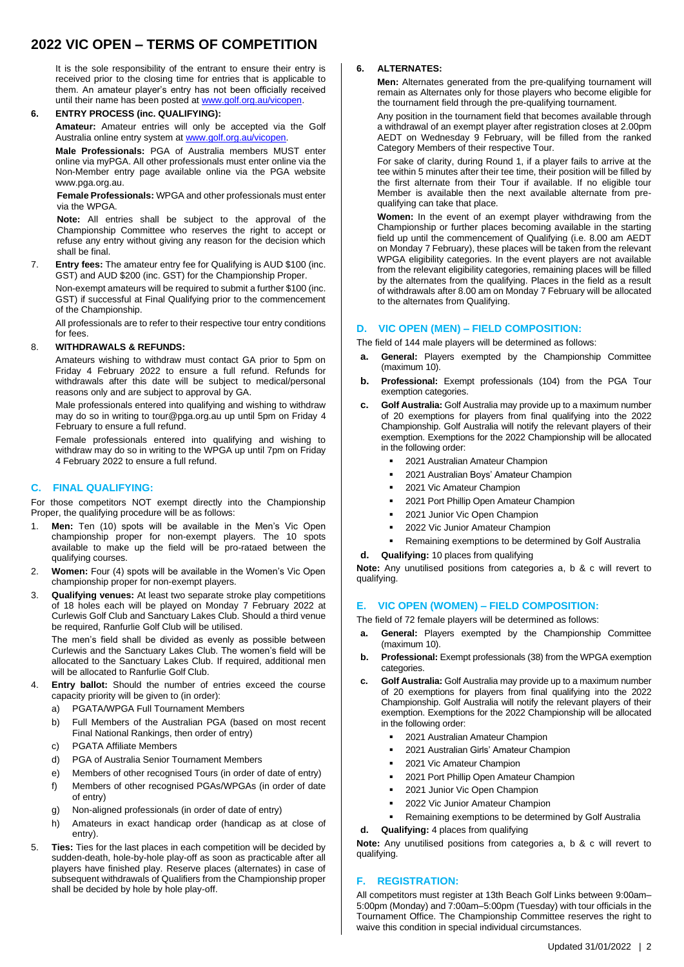# **2022 VIC OPEN – TERMS OF COMPETITION**

It is the sole responsibility of the entrant to ensure their entry is received prior to the closing time for entries that is applicable to them. An amateur player's entry has not been officially received until their name has been posted a[t www.golf.org.au/vicopen.](http://www.golf.org.au/vicopen)

#### **6. ENTRY PROCESS (inc. QUALIFYING):**

**Amateur:** Amateur entries will only be accepted via the Golf Australia online entry system a[t www.golf.org.au/vicopen.](http://www.vicopengolf.com/entries)

**Male Professionals:** PGA of Australia members MUST enter online via myPGA. All other professionals must enter online via the Non-Member entry page available online via the PGA website www.pga.org.au.

**Female Professionals:** WPGA and other professionals must enter via the WPGA.

**Note:** All entries shall be subject to the approval of the Championship Committee who reserves the right to accept or refuse any entry without giving any reason for the decision which shall be final.

7. **Entry fees:** The amateur entry fee for Qualifying is AUD \$100 (inc. GST) and AUD \$200 (inc. GST) for the Championship Proper. Non-exempt amateurs will be required to submit a further \$100 (inc. GST) if successful at Final Qualifying prior to the commencement of the Championship.

All professionals are to refer to their respective tour entry conditions for fees.

#### 8. **WITHDRAWALS & REFUNDS:**

Amateurs wishing to withdraw must contact GA prior to 5pm on Friday 4 February 2022 to ensure a full refund. Refunds for withdrawals after this date will be subject to medical/personal reasons only and are subject to approval by GA.

Male professionals entered into qualifying and wishing to withdraw may do so in writing to tour@pga.org.au up until 5pm on Friday 4 February to ensure a full refund.

Female professionals entered into qualifying and wishing to withdraw may do so in writing to the WPGA up until 7pm on Friday 4 February 2022 to ensure a full refund.

#### **C. FINAL QUALIFYING:**

For those competitors NOT exempt directly into the Championship Proper, the qualifying procedure will be as follows:

- 1. **Men:** Ten (10) spots will be available in the Men's Vic Open championship proper for non-exempt players. The 10 spots available to make up the field will be pro-rataed between the qualifying courses.
- 2. **Women:** Four (4) spots will be available in the Women's Vic Open championship proper for non-exempt players.
- 3. **Qualifying venues:** At least two separate stroke play competitions of 18 holes each will be played on Monday 7 February 2022 at Curlewis Golf Club and Sanctuary Lakes Club. Should a third venue be required, Ranfurlie Golf Club will be utilised.

The men's field shall be divided as evenly as possible between Curlewis and the Sanctuary Lakes Club. The women's field will be allocated to the Sanctuary Lakes Club. If required, additional men will be allocated to Ranfurlie Golf Club.

- 4. **Entry ballot:** Should the number of entries exceed the course capacity priority will be given to (in order):
	- a) PGATA/WPGA Full Tournament Members
	- b) Full Members of the Australian PGA (based on most recent Final National Rankings, then order of entry)
	- c) PGATA Affiliate Members
	- d) PGA of Australia Senior Tournament Members
	- e) Members of other recognised Tours (in order of date of entry)
	- f) Members of other recognised PGAs/WPGAs (in order of date of entry)
	- g) Non-aligned professionals (in order of date of entry)
	- h) Amateurs in exact handicap order (handicap as at close of entry).
- 5. **Ties:** Ties for the last places in each competition will be decided by sudden-death, hole-by-hole play-off as soon as practicable after all players have finished play. Reserve places (alternates) in case of subsequent withdrawals of Qualifiers from the Championship proper shall be decided by hole by hole play-off.

#### **6. ALTERNATES:**

**Men:** Alternates generated from the pre-qualifying tournament will remain as Alternates only for those players who become eligible for the tournament field through the pre-qualifying tournament.

Any position in the tournament field that becomes available through a withdrawal of an exempt player after registration closes at 2.00pm AEDT on Wednesday 9 February, will be filled from the ranked Category Members of their respective Tour.

For sake of clarity, during Round 1, if a player fails to arrive at the tee within 5 minutes after their tee time, their position will be filled by the first alternate from their Tour if available. If no eligible tour Member is available then the next available alternate from prequalifying can take that place.

**Women:** In the event of an exempt player withdrawing from the Championship or further places becoming available in the starting field up until the commencement of Qualifying (i.e. 8.00 am AEDT on Monday 7 February), these places will be taken from the relevant WPGA eligibility categories. In the event players are not available from the relevant eligibility categories, remaining places will be filled by the alternates from the qualifying. Places in the field as a result of withdrawals after 8.00 am on Monday 7 February will be allocated to the alternates from Qualifying.

#### **D. VIC OPEN (MEN) – FIELD COMPOSITION:**

The field of 144 male players will be determined as follows:

- **a. General:** Players exempted by the Championship Committee (maximum 10).
- **b. Professional:** Exempt professionals (104) from the PGA Tour exemption categories.
- **c. Golf Australia:** Golf Australia may provide up to a maximum number of 20 exemptions for players from final qualifying into the 2022 Championship. Golf Australia will notify the relevant players of their exemption. Exemptions for the 2022 Championship will be allocated in the following order:
	- 2021 Australian Amateur Champion
	- 2021 Australian Boys' Amateur Champion
	- 2021 Vic Amateur Champion
	- 2021 Port Phillip Open Amateur Champion
	- 2021 Junior Vic Open Champion
	- 2022 Vic Junior Amateur Champion
	- Remaining exemptions to be determined by Golf Australia
- **d. Qualifying:** 10 places from qualifying

**Note:** Any unutilised positions from categories a, b & c will revert to qualifying.

#### **E. VIC OPEN (WOMEN) – FIELD COMPOSITION:**

- The field of 72 female players will be determined as follows:
- **a. General:** Players exempted by the Championship Committee (maximum 10).
- **b. Professional:** Exempt professionals (38) from the WPGA exemption categories.
- **c. Golf Australia:** Golf Australia may provide up to a maximum number of 20 exemptions for players from final qualifying into the 2022 Championship. Golf Australia will notify the relevant players of their exemption. Exemptions for the 2022 Championship will be allocated in the following order:
	- 2021 Australian Amateur Champion
	- 2021 Australian Girls' Amateur Champion
	- 2021 Vic Amateur Champion
	- 2021 Port Phillip Open Amateur Champion
	- 2021 Junior Vic Open Champion
	- 2022 Vic Junior Amateur Champion
	- Remaining exemptions to be determined by Golf Australia
- **d. Qualifying:** 4 places from qualifying

**Note:** Any unutilised positions from categories a, b & c will revert to qualifying.

#### **F. REGISTRATION:**

All competitors must register at 13th Beach Golf Links between 9:00am– 5:00pm (Monday) and 7:00am–5:00pm (Tuesday) with tour officials in the Tournament Office. The Championship Committee reserves the right to waive this condition in special individual circumstances.